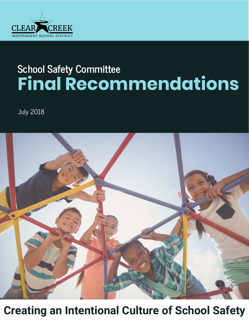

# **School Safety Committee Final Recommendations**

July 2018



**Creating an Intentional Culture of School Safety**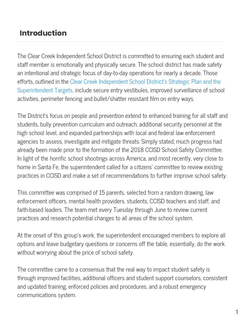### **Introduction**

The Clear Creek Independent School District is committed to ensuring each student and staff member is emotionally and physically secure. The school district has made safety an intentional and strategic focus of day-to-day operations for nearly a decade. Those efforts, outlined in the [Clear Creek Independent School District's Strategic Plan](https://ccisd.net/cms/One.aspx?portalId=645487&pageId=1228280) and the [Superintendent Targets, include secure entry vestibules, improved surveillance of schoo](https://ccisd.net/cms/One.aspx?portalId=645487&pageId=3755814)l activities, perimeter fencing and bullet/shatter resistant film on entry ways.

The District's focus on people and prevention extend to enhanced training for all staff and students, bully prevention curriculum and outreach, additional security personnel at the high school level, and expanded partnerships with local and federal law enforcement agencies to assess, investigate and mitigate threats. Simply stated, much progress had already been made prior to the formation of the 2018 CCISD School Safety Committee. In light of the horrific school shootings across America, and most recently, very close to home in Santa Fe, the superintendent called for a citizens' committee to review existing practices in CCISD and make a set of recommendations to further improve school safety.

This committee was comprised of 15 parents, selected from a random drawing, law enforcement officers, mental health providers, students, CCISD teachers and staff, and faith-based leaders. The team met every Tuesday through June to review current practices and research potential changes to all areas of the school system.

At the onset of this group's work, the superintendent encouraged members to explore all options and leave budgetary questions or concerns off the table, essentially, do the work without worrying about the price of school safety.

The committee came to a consensus that the real way to impact student safety is through improved facilities, additional officers and student support counselors, consistent and updated training, enforced policies and procedures, and a robust emergency communications system.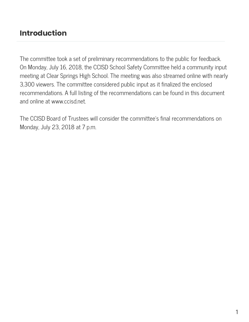### **Introduction**

The committee took a set of preliminary recommendations to the public for feedback. On Monday, July 16, 2018, the CCISD School Safety Committee held a community input meeting at Clear Springs High School. The meeting was also streamed online with nearly 3,300 viewers. The committee considered public input as it finalized the enclosed recommendations. A full listing of the recommendations can be found in this document and online at www.ccisd.net.

The CCISD Board of Trustees will consider the committee's final recommendations on Monday, July 23, 2018 at 7 p.m.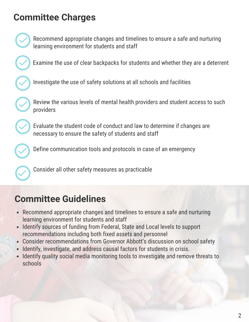### **Committee Charges**



Recommend appropriate changes and timelines to ensure a safe and nurturing learning environment for students and staff

Examine the use of clear backpacks for students and whether they are a deterrent

Investigate the use of safety solutions at all schools and facilities

Review the various levels of mental health providers and student access to such providers

Evaluate the student code of conduct and law to determine if changes are necessary to ensure the safety of students and staff

Define communication tools and protocols in case of an emergency

Consider all other safety measures as practicable

## **Committee Guidelines**

- Recommend appropriate changes and timelines to ensure a safe and nurturing learning environment for students and staff
- Identify sources of funding from Federal, State and Local levels to support recommendations including both fixed assets and personnel
- Consider recommendations from Governor Abbott's discussion on school safety
- Identify, investigate, and address causal factors for students in crisis.
- Identify quality social media monitoring tools to investigate and remove threats to schools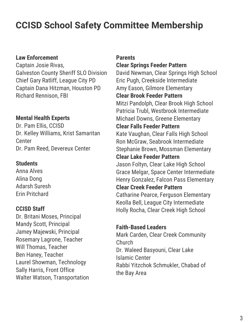## **CCISD School Safety Committee Membership**

### **Law Enforcement**

Captain Josie Rivas, Galveston County Sheriff SLO Division Chief Gary Ratliff, League City PD Captain Dana Hitzman, Houston PD Richard Rennison, FBI

### **Mental Health Experts**

Dr. Pam Ellis, CCISD Dr. Kelley Williams, Krist Samaritan **Center** Dr. Pam Reed, Devereux Center

#### **Students**

Anna Alves Alina Dong Adarsh Suresh Erin Pritchard

#### **CCISD Staff**

Dr. Britani Moses, Principal Mandy Scott, Principal Jamey Majewski, Principal Rosemary Lagrone, Teacher Will Thomas, Teacher Ben Haney, Teacher Laurel Showman, Technology Sally Harris, Front Office Walter Watson, Transportation

#### **Parents**

#### **Clear Springs Feeder Pattern**

David Newman, Clear Springs High School Eric Pugh, Creekside Intermediate Amy Eason, Gilmore Elementary **Clear Brook Feeder Pattern** Mitzi Pandolph, Clear Brook High School Patricia Trubl, Westbrook Intermediate Michael Downs, Greene Elementary **Clear Falls Feeder Pattern** Kate Vaughan, Clear Falls High School Ron McGraw, Seabrook Intermediate Stephanie Brown, Mossman Elementary **Clear Lake Feeder Pattern** Jason Foltyn, Clear Lake High School Grace Melgar, Space Center Intermediate Henry Gonzalez, Falcon Pass Elementary **Clear Creek Feeder Pattern** Catharine Pearce, Ferguson Elementary Keolla Bell, League City Intermediate Holly Rocha, Clear Creek High School

#### **Faith-Based Leaders**

Mark Carden, Clear Creek Community Church Dr. Waleed Basyouni, Clear Lake Islamic Center Rabbi Yitzchok Schmukler, Chabad of the Bay Area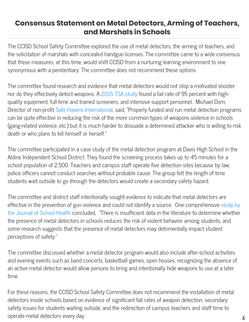### **Consensus Statement on Metal Detectors, Arming of Teachers, and Marshals in Schools**

The CCISD School Safety Committee explored the use of metal detectors, the arming of teachers, and the solicitation of marshals with concealed handgun licenses. The committee came to a wide consensus that these measures, at this time, would shift CCISD from a nurturing learning environment to one synonymous with a penitentiary. The committee does not recommend these options.

The committee found research and evidence that metal detectors would not stop a motivated shooter nor do they effectively detect weapons. A [2015 TSA study](https://www.forbes.com/sites/danielreed/2015/06/08/the-tsas-95-failure-rate-be-carefull-what-you-ask-for-when-demanding-that-congress-do-something/#1c9927a57137) found a fail rate of 95 percent with highquality equipment, full-time and trained screeners, and intensive support personnel. Michael Dorn, Director of non-profit [Safe Havens International,](http://safehavensinternational.org/) said, "Properly funded and run metal detection programs can be quite effective in reducing the risk of the more common types of weapons violence in schools (gang-related violence, etc.) but it is much harder to dissuade a determined attacker who is willing to risk death or who plans to kill himself or herself."

The committee participated in a case study of the metal detection program at Davis High School in the Aldine Independent School District. They found the screening process takes up to 45 minutes for a school population of 2,500. Teachers and campus staff operate five detection sites because by law, police officers cannot conduct searches without probable cause. The group felt the length of time students wait outside to go through the detectors would create a secondary safety hazard.

The committee and district staff intentionally sought evidence to indicate that metal detectors are effective in the prevention of gun violence and could not identify a source. One comprehensive study by the Journal of School Health concluded, "There is insufficient data in the literature to determine whether the presence of metal detectors in schools reduces the risk of violent behavior among students, and some research suggests that the presence of metal detectors may detrimentally impact student perceptions of safety."

The committee discussed whether a metal detector program would also include after-school activities and evening events such as band concerts, basketball games, open houses, recognizing the absence of an active metal detector would allow persons to bring and intentionally hide weapons to use at a later time.

For these reasons, the CCISD School Safety Committee does not recommend the installation of metal detectors inside schools based on evidence of significant fail rates of weapon detection, secondary safety issues for students waiting outside, and the redirection of campus teachers and staff time to operate metal detectors every day.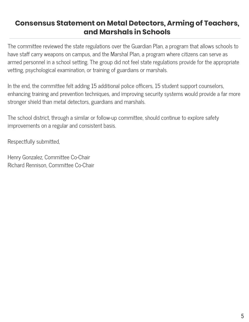### **Consensus Statement on Metal Detectors, Arming of Teachers, and Marshals in Schools**

The committee reviewed the state regulations over the Guardian Plan, a program that allows schools to have staff carry weapons on campus, and the Marshal Plan, a program where citizens can serve as armed personnel in a school setting. The group did not feel state regulations provide for the appropriate vetting, psychological examination, or training of guardians or marshals.

In the end, the committee felt adding 15 additional police officers, 15 student support counselors, enhancing training and prevention techniques, and improving security systems would provide a far more stronger shield than metal detectors, guardians and marshals.

The school district, through a similar or follow-up committee, should continue to explore safety improvements on a regular and consistent basis.

Respectfully submitted,

Henry Gonzalez, Committee Co-Chair Richard Rennison, Committee Co-Chair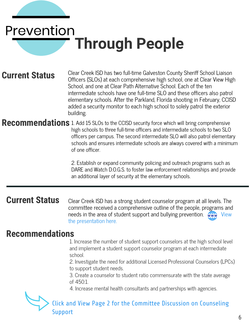# Prevention **Through People**

### **Current Status**

Clear Creek ISD has two full-time Galveston County Sheriff School Liaison Officers (SLOs) at each comprehensive high school, one at Clear View High School, and one at Clear Path Alternative School. Each of the ten intermediate schools have one full-time SLO and these officers also patrol elementary schools. After the Parkland, Florida shooting in February, CCISD added a security monitor to each high school to solely patrol the exterior building.

#### **Recommendations** 1. Add 15 SLOs to the CCISD security force which will bring comprehensive high schools to three full-time officers and intermediate schools to two SLO officers per campus. The second intermediate SLO will also patrol elementary schools and ensures intermediate schools are always covered with a minimum

of one officer.

2. Establish or expand community policing and outreach programs such as DARE and Watch D.O.G.S. to foster law enforcement relationships and provide an additional layer of security at the elementary schools.

### **Current Status**

Clear Creek ISD has a strong student counselor program at all levels. The committee received a comprehensive outline of the people, programs and needs in the area of student support and bullying prevention. **WHA** View the presentation here.

### **Recommendations**

1. Increase the number of student support counselors at the high school level and implement a student support counselor program at each intermediate school.

2. Investigate the need for additional Licensed Professional Counselors (LPCs) to support student needs.

3. Create a counselor to student ratio commensurate with the state average of 450:1.

4. Increase mental health consultants and partnerships with agencies.

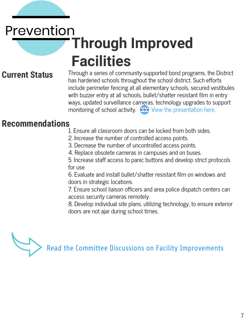# Prevention **Through Improved Facilities**

### **Current Status**

Through a series of community-supported bond programs, the District has hardened schools throughout the school district. Such efforts include perimeter fencing at all elementary schools, secured vestibules with buzzer entry at all schools, bullet/shatter resistant film in entry ways, updated surveillance cameras, technology upgrades to support monitoring of school activity. When the presentation here.

### **Recommendations**

- 1. Ensure all classroom doors can be locked from both sides.
- 2. Increase the number of controlled access points.
- 3. Decrease the number of uncontrolled access points.
- 4. Replace obsolete cameras in campuses and on buses.

5. Increase staff access to panic buttons and develop strict protocols for use.

6. Evaluate and install bullet/shatter resistant film on windows and doors in strategic locations.

7. Ensure school liaison officers and area police dispatch centers can access security cameras remotely.

8. Develop individual site plans, utilizing technology, to ensure exterior doors are not ajar during school times.

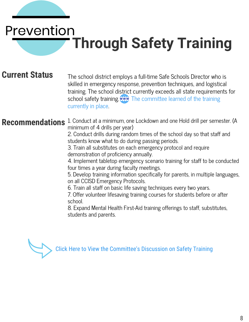# Prevention **Through Safety Training**

### **Current Status**

The school district employs a full-time Safe Schools Director who is skilled in emergency response, prevention techniques, and logistical training. The school district currently exceeds all state requirements for school safety training www The committee learned of the training currently in place.

Recommendations 1. Conduct at a minimum, one Lockdown and one Hold drill per semester. (A minimum of 4 drills per year)

> 2. Conduct drills during random times of the school day so that staff and students know what to do during passing periods.

3. Train all substitutes on each emergency protocol and require demonstration of proficiency annually.

4. Implement tabletop emergency scenario training for staff to be conducted four times a year during faculty meetings.

5. Develop training information specifically for parents, in multiple languages, on all CCISD Emergency Protocols.

6. Train all staff on basic life saving techniques every two years.

7. Offer volunteer lifesaving training courses for students before or after school.

8. Expand Mental Health First-Aid training offerings to staff, substitutes, students and parents.

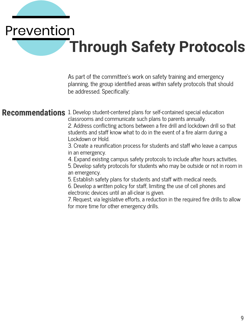# Prevention **Through Safety Protocols**

As part of the committee's work on safety training and emergency planning, the group identified areas within safety protocols that should be addressed. Specifically:

**Recommendations** 1. Develop student-centered plans for self-contained special education classrooms and communicate such plans to parents annually. 2. Address conflicting actions between a fire drill and lockdown drill so that students and staff know what to do in the event of a fire alarm during a Lockdown or Hold.

> 3. Create a reunification process for students and staff who leave a campus in an emergency.

> 4. Expand existing campus safety protocols to include after hours activities.

5. Develop safety protocols for students who may be outside or not in room in an emergency.

5. Establish safety plans for students and staff with medical needs.

6. Develop a written policy for staff, limiting the use of cell phones and electronic devices until an all-clear is given.

7. Request, via legislative efforts, a reduction in the required fire drills to allow for more time for other emergency drills.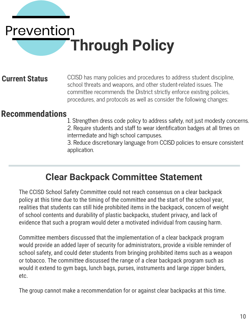# Prevention **Through Policy**

### **Current Status**

CCISD has many policies and procedures to address student discipline, school threats and weapons, and other student-related issues. The committee recommends the District strictly enforce existing policies, procedures, and protocols as well as consider the following changes:

### **Recommendations**

- 1. Strengthen dress code policy to address safety, not just modesty concerns. 2. Require students and staff to wear identification badges at all times on
- intermediate and high school campuses.

3. Reduce discretionary language from CCISD policies to ensure consistent application.

### **Clear Backpack Committee Statement**

The CCISD School Safety Committee could not reach consensus on a clear backpack policy at this time due to the timing of the committee and the start of the school year, realities that students can still hide prohibited items in the backpack, concern of weight of school contents and durability of plastic backpacks, student privacy, and lack of evidence that such a program would deter a motivated individual from causing harm.

Committee members discussed that the implementation of a clear backpack program would provide an added layer of security for administrators, provide a visible reminder of school safety, and could deter students from bringing prohibited items such as a weapon or tobacco. The committee discussed the range of a clear backpack program such as would it extend to gym bags, lunch bags, purses, instruments and large zipper binders, etc.

The group cannot make a recommendation for or against clear backpacks at this time.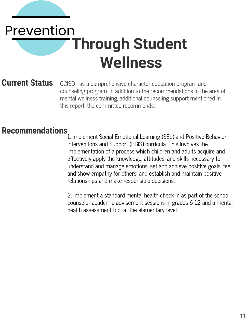# Prevention **Through Student Wellness**

### **Current Status**

CCISD has a comprehensive character education program and counseling program. In addition to the recommendations in the area of mental wellness training, additional counseling support mentioned in this report, the committee recommends:

### **Recommendations**

1. Implement Social Emotional Learning (SEL) and Positive Behavior Interventions and Support (PBIS) curricula. This involves the implementation of a process which children and adults acquire and effectively apply the knowledge, attitudes, and skills necessary to understand and manage emotions; set and achieve positive goals; feel and show empathy for others; and establish and maintain positive relationships and make responsible decisions.

2. Implement a standard mental health check-in as part of the school counselor academic advisement sessions in grades 6-12 and a mental health assessment tool at the elementary level.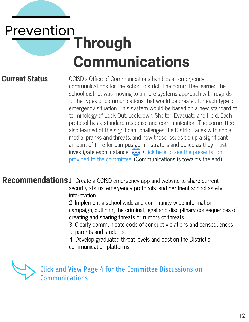# Prevention **Through Communications**

### **Current Status**

CCISD's Office of Communications handles all emergency communications for the school district. The committee learned the school district was moving to a more systems approach with regards to the types of communications that would be created for each type of emergency situation. This system would be based on a new standard of terminology of Lock Out, Lockdown, Shelter, Evacuate and Hold. Each protocol has a standard response and communication. The committee also learned of the significant challenges the District faces with social media, pranks and threats, and how these issues tie up a significant amount of time for campus administrators and police as they must investigate each instance.  $\overrightarrow{ww}$  Click here to see the presentation provided to the committee. (Communications is towards the end)

**Recommendations**1. Create a CCISD emergency app and website to share current security status, emergency protocols, and pertinent school safety information.

> 2. Implement a school-wide and community-wide information campaign, outlining the criminal, legal and disciplinary consequences of creating and sharing threats or rumors of threats.

3. Clearly communicate code of conduct violations and consequences to parents and students.

4. Develop graduated threat levels and post on the District's communication platforms.



[Click and View Page 4 for the Committee Discussions on](https://ccisd.net/common/pages/DisplayFile.aspx?itemId=44273467)  Communications